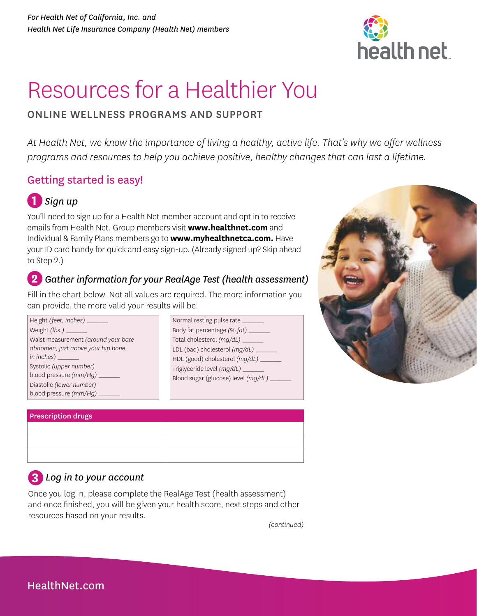

# Resources for a Healthier You

# ONLINE WELLNESS PROGRAMS AND SUPPORT

*At Health Net, we know the importance of living a healthy, active life. That's why we offer wellness programs and resources to help you achieve positive, healthy changes that can last a lifetime.* 

# Getting started is easy!



You'll need to sign up for a Health Net member account and opt in to receive emails from Health Net. Group members visit **[www.healthnet.com](http://www.healthnet.com)** and Individual & Family Plans members go to **[www.myhealthnetca.com.](http://www.myhealthnetca.com)** Have your ID card handy for quick and easy sign-up. (Already signed up? Skip ahead to Step 2.)

# **2** *Gather information for your RealAge Test (health assessment)*

Fill in the chart below. Not all values are required. The more information you can provide, the more valid your results will be.

| Height (feet, inches) __            |
|-------------------------------------|
|                                     |
| Waist measurement (around your bare |
| abdomen, just above your hip bone,  |
| in inches)                          |
| Systolic (upper number)             |
| blood pressure $(mm/Hq)$            |
| Diastolic (lower number)            |
| blood pressure (mm/Hg)              |

| Normal resting pulse rate              |  |
|----------------------------------------|--|
| Body fat percentage (% fat) __         |  |
| Total cholesterol (mg/dL) __           |  |
| LDL (bad) cholesterol (mg/dL) __       |  |
| HDL (good) cholesterol $(mq/dL)$ _____ |  |
| Triglyceride level (mg/dL) ___         |  |
| Blood sugar (glucose) level (mg/dL) _  |  |
|                                        |  |



| Prescription drugs |  |
|--------------------|--|
|                    |  |

| $\ldots$ |  |  |
|----------|--|--|
|          |  |  |
|          |  |  |
|          |  |  |
|          |  |  |
|          |  |  |
|          |  |  |

# **3** *Log in to your account*

Once you log in, please complete the RealAge Test (health assessment) and once finished, you will be given your health score, next steps and other resources based on your results.

*(continued)*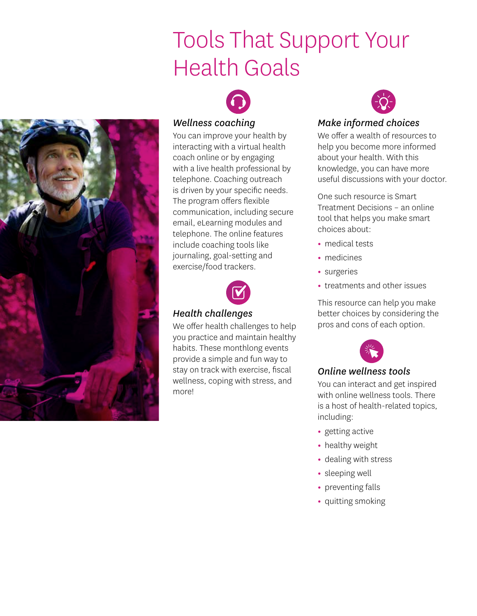# Tools That Support Your Health Goals



## *Wellness coaching*

You can improve your health by interacting with a virtual health coach online or by engaging with a live health professional by telephone. Coaching outreach is driven by your specific needs. The program offers flexible communication, including secure email, eLearning modules and telephone. The online features include coaching tools like journaling, goal-setting and exercise/food trackers.



## *Health challenges*

We offer health challenges to help you practice and maintain healthy habits. These monthlong events provide a simple and fun way to stay on track with exercise, fiscal wellness, coping with stress, and more!



# *Make informed choices*

We offer a wealth of resources to help you become more informed about your health. With this knowledge, you can have more useful discussions with your doctor.

One such resource is Smart Treatment Decisions – an online tool that helps you make smart choices about:

- medical tests
- medicines
- surgeries
- treatments and other issues

This resource can help you make better choices by considering the pros and cons of each option.



## *Online wellness tools*

You can interact and get inspired with online wellness tools. There is a host of health-related topics, including:

- getting active
- healthy weight
- dealing with stress
- sleeping well
- preventing falls
- quitting smoking

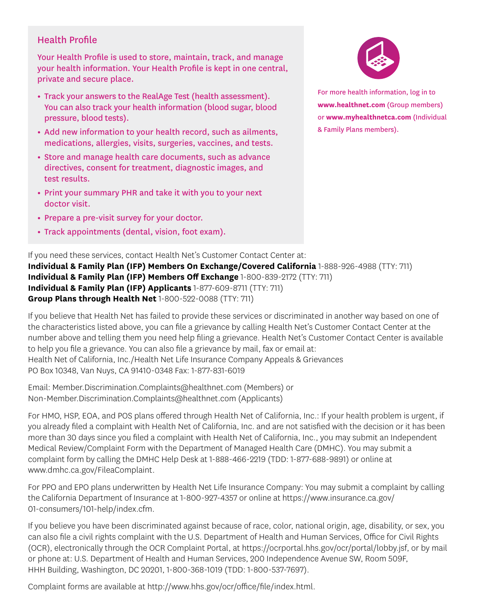# Health Profile

Your Health Profile is used to store, maintain, track, and manage your health information. Your Health Profile is kept in one central, private and secure place.

- Track your answers to the RealAge Test (health assessment). You can also track your health information (blood sugar, blood pressure, blood tests).
- Add new information to your health record, such as ailments, medications, allergies, visits, surgeries, vaccines, and tests.
- Store and manage health care documents, such as advance directives, consent for treatment, diagnostic images, and test results.
- Print your summary PHR and take it with you to your next doctor visit.
- Prepare a pre-visit survey for your doctor.
- Track appointments (dental, vision, foot exam).



For more health information, log in to **[www.healthnet.com](http://www.healthnet.com)** (Group members) or **[www.myhealthnetca.com](http://www.myhealthnetca.com)** (Individual & Family Plans members).

If you need these services, contact Health Net's Customer Contact Center at: **Individual & Family Plan (IFP) Members On Exchange/Covered California** 1-888-926-4988 (TTY: 711) **Individual & Family Plan (IFP) Members Off Exchange** 1-800-839-2172 (TTY: 711) **Individual & Family Plan (IFP) Applicants** 1-877-609-8711 (TTY: 711) **Group Plans through Health Net** 1-800-522-0088 (TTY: 711)

If you believe that Health Net has failed to provide these services or discriminated in another way based on one of the characteristics listed above, you can file a grievance by calling Health Net's Customer Contact Center at the number above and telling them you need help filing a grievance. Health Net's Customer Contact Center is available to help you file a grievance. You can also file a grievance by mail, fax or email at: Health Net of California, Inc./Health Net Life Insurance Company Appeals & Grievances PO Box 10348, Van Nuys, CA 91410-0348 Fax: 1-877-831-6019

Email: [Member.Discrimination.Complaints@healthnet.com](mailto:Member.Discrimination.Complaints@healthnet.com) (Members) or [Non-Member.Discrimination.Complaints@healthnet.com](mailto:Non-Member.Discrimination.Complaints@healthnet.com) (Applicants)

For HMO, HSP, EOA, and POS plans offered through Health Net of California, Inc.: If your health problem is urgent, if you already filed a complaint with Health Net of California, Inc. and are not satisfied with the decision or it has been more than 30 days since you filed a complaint with Health Net of California, Inc., you may submit an Independent Medical Review/Complaint Form with the Department of Managed Health Care (DMHC). You may submit a complaint form by calling the DMHC Help Desk at 1-888-466-2219 (TDD: 1-877-688-9891) or online at [www.dmhc.ca.gov/FileaComplaint](http://www.dmhc.ca.gov/FileaComplaint).

For PPO and EPO plans underwritten by Health Net Life Insurance Company: You may submit a complaint by calling the California Department of Insurance at 1-800-927-4357 or online at [https://www.insurance.ca.gov/](https://www.insurance.ca.gov/01-consumers/101-help/index.cfm)  [01-consumers/101-help/index.cfm](https://www.insurance.ca.gov/01-consumers/101-help/index.cfm).

If you believe you have been discriminated against because of race, color, national origin, age, disability, or sex, you can also file a civil rights complaint with the U.S. Department of Health and Human Services, Office for Civil Rights (OCR), electronically through the OCR Complaint Portal, at <https://ocrportal.hhs.gov/ocr/portal/lobby.jsf>, or by mail or phone at: U.S. Department of Health and Human Services, 200 Independence Avenue SW, Room 509F, HHH Building, Washington, DC 20201, 1-800-368-1019 (TDD: 1-800-537-7697).

Complaint forms are available at [http://www.hhs.gov/ocr/office/file/index.html.](http://www.hhs.gov/ocr/office/file/index.html)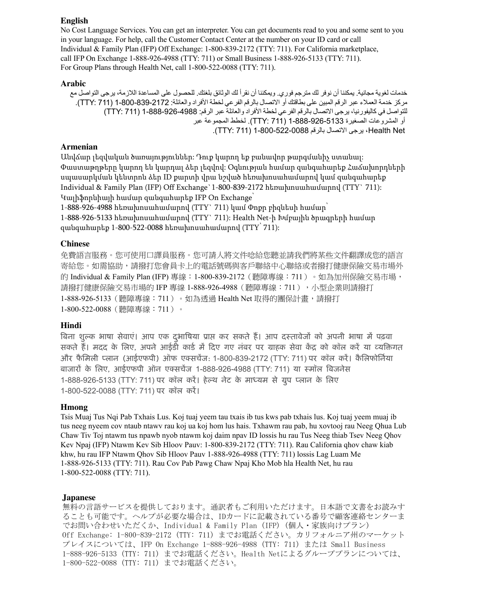#### **English**

 For Group Plans through Health Net, call 1-800-522-0088 (TTY: 711). No Cost Language Services. You can get an interpreter. You can get documents read to you and some sent to you in your language. For help, call the Customer Contact Center at the number on your ID card or call Individual & Family Plan (IFP) Off Exchange: 1-800-839-2172 (TTY: 711). For California marketplace, call IFP On Exchange 1-888-926-4988 (TTY: 711) or Small Business 1-888-926-5133 (TTY: 711).

#### **Arabic**

خدمات لغوية مجانية. يمكننا أن نوفر لك مترجم فوري. ويمكننا أن نقرأ لك الوثائق بلغتك. للحصول على المساعدة اللازمة، يرجى التواصل مع مركز خدمة العملاء عبر الرقم المبين على بطاقتك أو الاتصال بالرقم الفرعي لخطة الأفراد والعائلة: 2172-839-100-1 (711 :TTY). التواصل في كاليفورنيا، يرجي الاتصال بالرقم الفرعي لخطة الأفراد والعائلة عبر الرقم: 4988-926-888-1 (711 : TTY) أو المشروعات الصغيرة 1-888-926-5133 (711 :TTY). لخطط المجموعة عبر Net Health، يرجى االتصال بالرقم 1-800-522-0088 (711 :TTY).

#### **Armenian**

Անվճար լեզվական ծառայություններ: Դուք կարող եք բանավոր թարգմանիչ ստանալ: Փաստաթղթերը կարող են կարդալ ձեր լեզվով: Օգնության համար զանգահարեք Հաճախորդների սպասարկման կենտրոն ձեր ID քարտի վրա նշված հեռախոսահամարով կամ զանգահարեք Individual & Family Plan (IFP) Off Exchange`1-800-839-2172 հեռախոսահամարով (TTY` 711): Կալիֆորնիայի համար զանգահարեք IFP On Exchange՝

1-888-926-4988 հեռախոսահամարով (TTY` 711) կամ Փոքր բիզնեսի համար 1-888-926-5133 հեռախոսահամարով (TTY` 711): Health Net-ի Խմբային ծրագրերի համար զանգահարեք 1-800-522-0088 հեռախոսահամարով (TTY՝ 711):

#### **Chinese**

免費語言服務。您可使用口譯員服務。您可請人將文件唸給您聽並請我們將某些文件翻譯成您的語言 寄給您。如需協助,請撥打您會員卡上的電話號碼與客戶聯絡中心聯絡或者撥打健康保險交易市場外 的 Individual & Family Plan (IFP) 專線:1-800-839-2172(聽障專線:711 )。如為加州保險交易市場, 請撥打健康保險交易市場的 IFP 專線 1-888-926-4988(聽障專線:711),小型企業則請撥打 1-888-926-5133 (聽障專線: 711)。如為透過 Health Net 取得的團保計畫,請撥打 1-800-522-0088(聽障專線:711)。

#### **Hindi**

बिना शुल्क भाषा सेवाए। आप एक दुर्भाषिया प्राप्त कर सकते है। आप दस्तावेजो को अपनी भाषा में पढ़वा सकते हैं। मदद के लिए, अपने आईडी कार्ड में दिए गए नंबर पर ग्राहक सेवा केंद्र को कॉल करें या व्यक्तिगत और फैमिली प्लान (आईएफपी) आँफ एक्सचेज: 1-800-839-2172 (TTY: 711) पर कॉल करे। कैलिफोर्निया बाजारों के लिए, आईएफपी आंन एक्सचेज 1-888-926-4988 (TTY: 711) या स्मॉल बिजनेस 1-888-926-5133 (TTY: 711) पर कॉल करें। हेल्थ नेट के माध्यम से ग्रुप प्लान के लिए 1-800-522-0088 (TTY: 711) पर कॉल करें।

#### **Hmong**

Tsis Muaj Tus Nqi Pab Txhais Lus. Koj tuaj yeem tau txais ib tus kws pab txhais lus. Koj tuaj yeem muaj ib tus neeg nyeem cov ntaub ntawv rau koj ua koj hom lus hais. Txhawm rau pab, hu xovtooj rau Neeg Qhua Lub Chaw Tiv Toj ntawm tus npawb nyob ntawm koj daim npav ID lossis hu rau Tus Neeg thiab Tsev Neeg Qhov Kev Npaj (IFP) Ntawm Kev Sib Hloov Pauv: 1-800-839-2172 (TTY: 711). Rau California qhov chaw kiab khw, hu rau IFP Ntawm Qhov Sib Hloov Pauv 1-888-926-4988 (TTY: 711) lossis Lag Luam Me 1-888-926-5133 (TTY: 711). Rau Cov Pab Pawg Chaw Npaj Kho Mob hla Health Net, hu rau 1-800-522-0088 (TTY: 711).

#### **Japanese**

無料の言語サービスを提供しております。通訳者もご利用いただけます。日本語で文書をお読みす ることも可能です。ヘルプが必要な場合は、IDカードに記載されている番号で顧客連絡センターま でお問い合わせいただくか、Individual & Family Plan (IFP) (個人・家族向けプラン) Off Exchange: 1-800-839-2172 (TTY: 711) までお電話ください。カリフォルニア州のマーケット プレイスについては、IFP On Exchange 1-888-926-4988 (TTY: 711) または Small Business 1-888-926-5133 (TTY: 711) までお電話ください。Health Netによるグループプランについては、 1-800-522-0088 (TTY: 711) までお電話ください。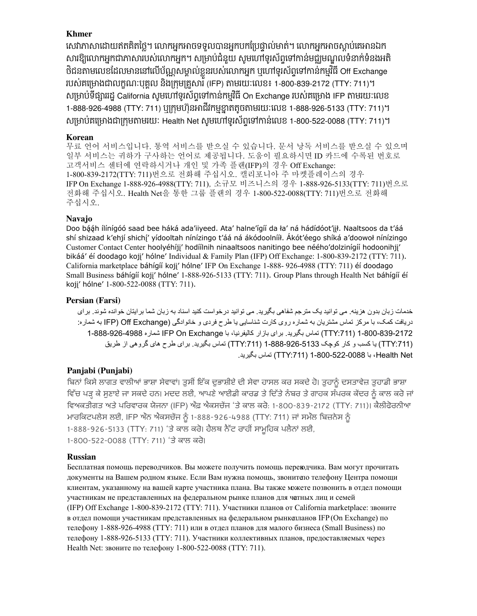## **Khmer**

សេវាភាសាដោយឥតគិតថ្លៃ។ លោកអ្នកអាចទទួលបានអ្នកបកប្រែផ្ទាល់មាត់។ លោកអ្នកអាចស្តាប់គេអានឯក សារឱ្យលោកអ្នកជាភាសារបស់លោកអ្នក។ សម្រាបជំនួយ សូមហៅទូរសព្វទៅកានមជ្ឈមណ្ឌលទំនាក់ទំនងអត ថិជនតាមលេខដែលមាននៅលេបណ្ណសម្គាលខ្លួនរបស់លោកអ្នក ឬហៅទូរសព្ទទៅកានកម្មវធ Off Exchange របស់គម្រោងជាលក្ខណៈបុគ្គល និងក្រុមគ្រួសារី (IFP) តាមរយៈលេខ៖ 1-800-839-2172 (TTY: 711)។ សម្រាប់ទង្សាររដ្ឋ California សូមហោទូរសព្ទទោកានកម្មវិធី On Exchange របស់គម្រោង IFP តាមរយៈលេខ 1-888-926-4988 (TTY: 711) ឬក្រុមហុនអាជវកម្មខ្នាតតូចតាមរយៈលេខ 1-888-926-5133 (TTY: 711)។ សម្រាប់គម្រោងជាក្រុមតាមរយៈ Health Net សូមហោទូរសព្ទទៅកាន់លេខ 1-800-522-0088 (TTY: 711)។ ិ ិ ិ ិ

#### **Korean**

고객서비스 센터에 연락하시거나 개인 및 가족 플랜(IFP)의 경우 Off Exchange: 1-800-839-2172(TTY: 711) 번으로 전화해 주십시오. 캘리포니아 주 마켓플레이스의 경우 IFP On Exchange 1-888-926-4988(TTY: 711) , 소규모 비즈니스의 경우 1-888-926-5133(TTY: 711) 번으로 전화해 주십시오. Health Net을 통한 그룹 플랜의 경우 1-800-522-0088(TTY: 711) 번으로 전화해 주십시오. 무료 언어 서비스입니다. 통역 서비스를 받으실 수 있습니다. 문서 낭독 서비스를 받으실 수 있으며 일부 서비스는 귀하가 구사하는 언어로 제공됩니다. 도움이 필요하시면 ID 카드에 수록된 번호로

## **Navajo**

Small Business báhígíí koji' hólne' 1-888-926-5133 (TTY: 711). Group Plans through Health Net báhígíí éí Doo bááh ílínígóó saad bee háká ada'iiyeed. Ata' halne'ígíí da ła' ná hádídóot'iił. Naaltsoos da t'áá Customer Contact Center hoolyéhíjj' hodíílnih ninaaltsoos nanitingo bee néého'dolzinígíí hodoonihjj' bikáá' éí doodago kojj' hólne' Individual & Family Plan (IFP) Off Exchange: 1-800-839-2172 (TTY: 711). California marketplace báhígíí koji' hólne' IFP On Exchange 1-888- 926-4988 (TTY: 711) éí doodago kojį' hólne' 1-800-522-0088 (TTY: 711). shí shizaad k'ehjí shichí' yídooltah nínízingo t'áá ná ákódoolnííł. Akót'éego shíká a'doowoł nínízingo

#### **Persian (Farsi)**

خدمات زبان بدون هزينه. می توانيد يک مترجم شفاهی بگيريد. می توانيد درخواست کنيد اسناد به زبان شما برايتان خوانده شوند. برای يدر افت کمک، با مرکز تماس مشتريان به شماره روی کارت شناسا یي يا طرح فردی و خانوادگی (Exchange Off) IFP به شماره: 1-888-926-4988 (TTY:711) تماس بگيريد. برای بازار كاليفرنيا، با IFP On Exchange شماره 1-888-926-4988 (TTY:711) يا کسب و کار کوچک 5133-926-888-1 (TTY:711) تماس بگيريد. برای طرح های گروهی از طريق Health Net و 1-800-522-0088 (TTY:711) تماس بگيريد.

## **Panjabi (Punjabi)**

ਵਿੱਚ ਪੜ੍ਹ ਕੇ ਸੁਣਾਏ ਜਾ ਸਕਦੇ ਹਨ। ਮਦਦ ਲਈ, ਆਪਣੇ ਆਈਡੀ ਕਾਰਡ ਤੇ ਦਿੱਤੇ ਨੰਬਰ ਤੇ ਗਾਹਕ ਸੰਪਰਕ ਕੇਂਦਰ ਨੂੰ ਕਾਲ ਕਰੇ ਜਾਂ | ਮਾਰਕਿਟਪਲੇਸ ਲਈ, IFP ਔਨ ਐਕਸਚੇਂਜ ਨੂੰ 1-888-926-4988 (TTY: 711) ਜਾਂ ਸਮੰਲ ਬਿਜ਼ਨੇਸ ਨੂੰ ਬਿਨਾਂ ਕਿਸੇ ਲਾਗਤ ਵਾਲੀਆਂ ਭਾਸ਼ਾ ਸਵਾਵਾਂ। ਤੁਸੀਂ ਇੱਕ ਦੁਭਾਸ਼ੀਏ ਦੀ ਸੇਵਾ ਹਾਸਲ ਕਰ ਸਕਦ ਹੈ। ਤੁਹਾਨੂੰ ਦਸਤਾਵੇਜ਼ ਤੁਹਾਡੀ ਭਾਸ਼ਾ ਵਿਅਕਤੀਗਤ ਅਤੇ ਪਰਿਵਾਰਕ ਯੋਜਨਾ (IFP) ਔਫ਼ ਐਕਸਚੇਂਜ 'ਤੇ ਕਾਲ ਕਰੋ: 1-800-839-2172 (TTY: 711)। ਕੈਲੀਫੋਰਨੀਆ ਮਾਰਾਕਟਪਲਸ ਲਈ, IFP ਅਨ ਅਕਸਚਜ ਨੂ 1-888-926-4988 (TTY: 711) ਜਾਂ ਸਮਲ ਬਿਜ਼ਨਸ ਨੂ<br>1-888-926-5133 (TTY: 711) 'ਤੇ ਕਾਲ ਕਰੋ। ਹੈਲਥ ਨੈੱਟ ਰਾਹੀਂ ਸਾਮੂਹਿਕ ਪਲੈਨਾਂ ਲਈ, 1-800-522-0088 (TTY: 711) 'ਤੇ ਕਾਲ ਕਰੋ।

#### **Russian**

Бесплатная помощь переводчиков. Вы можете получить помощь переводчика. Вам могут прочитать документы на Вашем родном языке. Если Вам нужна помощь, звоните по телефону Центра помощи клиентам, указанному на вашей карте участника плана. Вы также можете позвонить в отдел помощи участникам не представленных на федеральном рынке планов для частных лиц и семей (IFP) Off Exchange 1‑800‑839‑2172 (TTY: 711). Участники планов от California marketplace: звоните в отдел помощи участникам представленных на федеральном рынкепланов IFP (On Exchange) по телефону 1-888-926-4988 (TTY: 711) или в отдел планов для малого бизнеса (Small Business) по телефону 1‑888‑926‑5133 (TTY: 711). Участники коллективных планов, предоставляемых через Health Net: звоните по телефону 1‑800‑522‑0088 (TTY: 711).